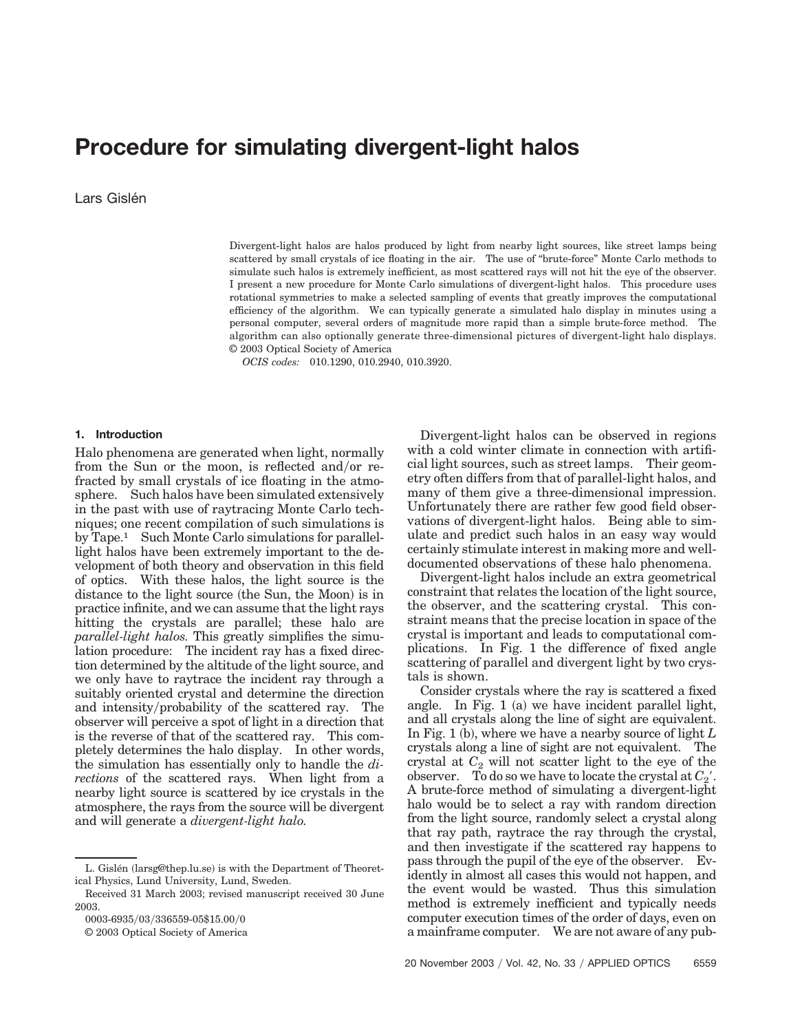# **Procedure for simulating divergent-light halos**

Lars Gislén

Divergent-light halos are halos produced by light from nearby light sources, like street lamps being scattered by small crystals of ice floating in the air. The use of "brute-force" Monte Carlo methods to simulate such halos is extremely inefficient, as most scattered rays will not hit the eye of the observer. I present a new procedure for Monte Carlo simulations of divergent-light halos. This procedure uses rotational symmetries to make a selected sampling of events that greatly improves the computational efficiency of the algorithm. We can typically generate a simulated halo display in minutes using a personal computer, several orders of magnitude more rapid than a simple brute-force method. The algorithm can also optionally generate three-dimensional pictures of divergent-light halo displays. © 2003 Optical Society of America

*OCIS codes:* 010.1290, 010.2940, 010.3920.

#### **1. Introduction**

Halo phenomena are generated when light, normally from the Sun or the moon, is reflected and/or refracted by small crystals of ice floating in the atmosphere. Such halos have been simulated extensively in the past with use of raytracing Monte Carlo techniques; one recent compilation of such simulations is by Tape.1 Such Monte Carlo simulations for parallellight halos have been extremely important to the development of both theory and observation in this field of optics. With these halos, the light source is the distance to the light source (the Sun, the Moon) is in practice infinite, and we can assume that the light rays hitting the crystals are parallel; these halo are *parallel-light halos.* This greatly simplifies the simulation procedure: The incident ray has a fixed direction determined by the altitude of the light source, and we only have to raytrace the incident ray through a suitably oriented crystal and determine the direction and intensity/probability of the scattered ray. The observer will perceive a spot of light in a direction that is the reverse of that of the scattered ray. This completely determines the halo display. In other words, the simulation has essentially only to handle the *directions* of the scattered rays. When light from a nearby light source is scattered by ice crystals in the atmosphere, the rays from the source will be divergent and will generate a *divergent-light halo.*

© 2003 Optical Society of America

Divergent-light halos can be observed in regions with a cold winter climate in connection with artificial light sources, such as street lamps. Their geometry often differs from that of parallel-light halos, and many of them give a three-dimensional impression. Unfortunately there are rather few good field observations of divergent-light halos. Being able to simulate and predict such halos in an easy way would certainly stimulate interest in making more and welldocumented observations of these halo phenomena.

Divergent-light halos include an extra geometrical constraint that relates the location of the light source, the observer, and the scattering crystal. This constraint means that the precise location in space of the crystal is important and leads to computational complications. In Fig. 1 the difference of fixed angle scattering of parallel and divergent light by two crystals is shown.

Consider crystals where the ray is scattered a fixed angle. In Fig. 1 (a) we have incident parallel light, and all crystals along the line of sight are equivalent. In Fig. 1 (b), where we have a nearby source of light  $L$ crystals along a line of sight are not equivalent. The crystal at  $C_2$  will not scatter light to the eye of the observer. To do so we have to locate the crystal at  $C_2$ . A brute-force method of simulating a divergent-light halo would be to select a ray with random direction from the light source, randomly select a crystal along that ray path, raytrace the ray through the crystal, and then investigate if the scattered ray happens to pass through the pupil of the eye of the observer. Evidently in almost all cases this would not happen, and the event would be wasted. Thus this simulation method is extremely inefficient and typically needs computer execution times of the order of days, even on a mainframe computer. We are not aware of any pub-

L. Gislén (larsg@thep.lu.se) is with the Department of Theoretical Physics, Lund University, Lund, Sweden.

Received 31 March 2003; revised manuscript received 30 June 2003.

<sup>0003-6935/03/336559-05\$15.00/0</sup>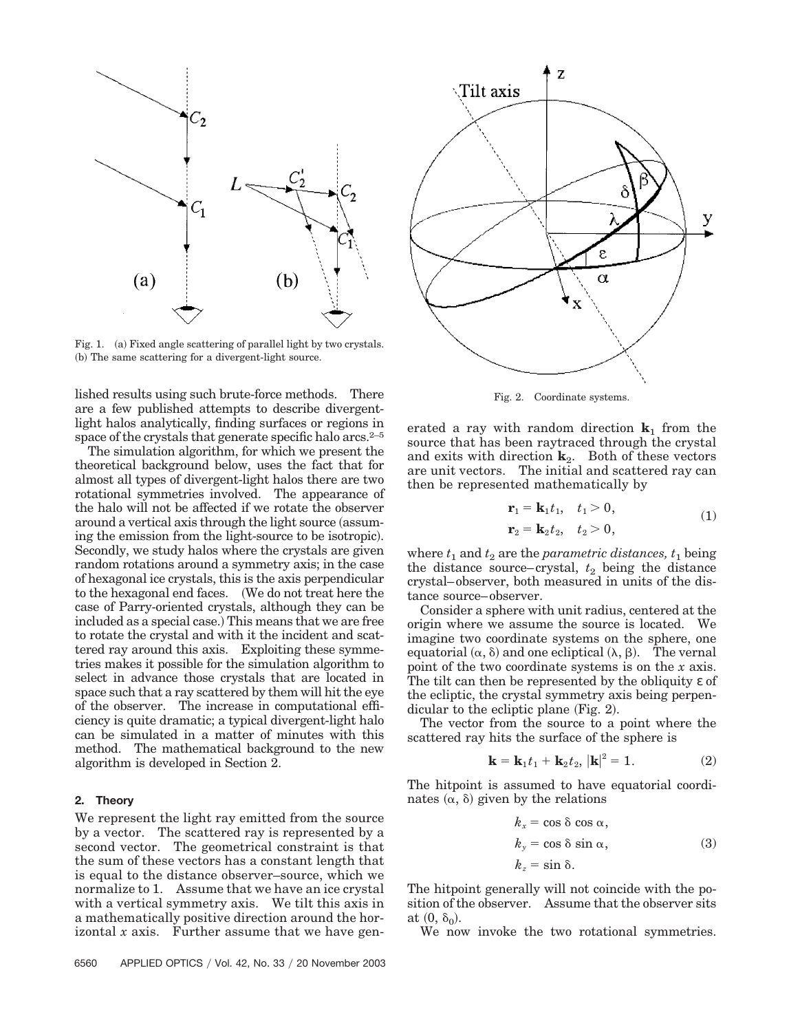

Fig. 1. (a) Fixed angle scattering of parallel light by two crystals. (b) The same scattering for a divergent-light source.

lished results using such brute-force methods. There are a few published attempts to describe divergentlight halos analytically, finding surfaces or regions in space of the crystals that generate specific halo arcs.<sup>2–5</sup>

The simulation algorithm, for which we present the theoretical background below, uses the fact that for almost all types of divergent-light halos there are two rotational symmetries involved. The appearance of the halo will not be affected if we rotate the observer around a vertical axis through the light source (assuming the emission from the light-source to be isotropic). Secondly, we study halos where the crystals are given random rotations around a symmetry axis; in the case of hexagonal ice crystals, this is the axis perpendicular to the hexagonal end faces. We do not treat here the case of Parry-oriented crystals, although they can be included as a special case.) This means that we are free to rotate the crystal and with it the incident and scattered ray around this axis. Exploiting these symmetries makes it possible for the simulation algorithm to select in advance those crystals that are located in space such that a ray scattered by them will hit the eye of the observer. The increase in computational efficiency is quite dramatic; a typical divergent-light halo can be simulated in a matter of minutes with this method. The mathematical background to the new algorithm is developed in Section 2.

## **2. Theory**

We represent the light ray emitted from the source by a vector. The scattered ray is represented by a second vector. The geometrical constraint is that the sum of these vectors has a constant length that is equal to the distance observer–source, which we normalize to 1. Assume that we have an ice crystal with a vertical symmetry axis. We tilt this axis in a mathematically positive direction around the horizontal *x* axis. Further assume that we have gen-



Fig. 2. Coordinate systems.

erated a ray with random direction  $\mathbf{k}_1$  from the source that has been raytraced through the crystal and exits with direction  $\mathbf{k}_2$ . Both of these vectors are unit vectors. The initial and scattered ray can then be represented mathematically by

$$
\begin{aligned} \mathbf{r}_1 &= \mathbf{k}_1 t_1, \quad t_1 > 0, \\ \mathbf{r}_2 &= \mathbf{k}_2 t_2, \quad t_2 > 0, \end{aligned} \tag{1}
$$

where  $t_1$  and  $t_2$  are the *parametric distances*,  $t_1$  being the distance source–crystal,  $t_2$  being the distance crystal–observer, both measured in units of the distance source–observer.

Consider a sphere with unit radius, centered at the origin where we assume the source is located. We imagine two coordinate systems on the sphere, one equatorial  $(\alpha, \delta)$  and one ecliptical  $(\lambda, \beta)$ . The vernal point of the two coordinate systems is on the *x* axis. The tilt can then be represented by the obliquity ε of the ecliptic, the crystal symmetry axis being perpendicular to the ecliptic plane (Fig. 2).

The vector from the source to a point where the scattered ray hits the surface of the sphere is

$$
\mathbf{k} = \mathbf{k}_1 t_1 + \mathbf{k}_2 t_2, \, |\mathbf{k}|^2 = 1. \tag{2}
$$

The hitpoint is assumed to have equatorial coordinates  $(\alpha, \delta)$  given by the relations

$$
k_x = \cos \delta \cos \alpha,
$$
  
\n
$$
k_y = \cos \delta \sin \alpha,
$$
  
\n
$$
k_z = \sin \delta.
$$
 (3)

The hitpoint generally will not coincide with the position of the observer. Assume that the observer sits at  $(0, \delta_0)$ .

We now invoke the two rotational symmetries.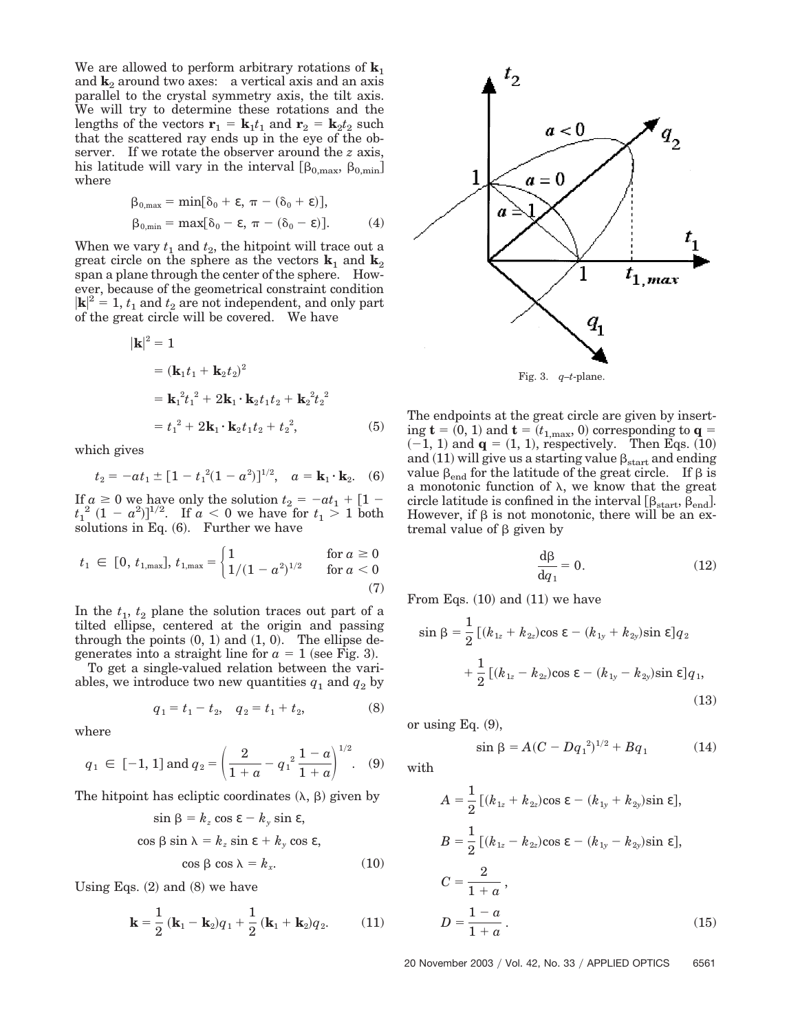We are allowed to perform arbitrary rotations of  $\mathbf{k}_1$ and  $\mathbf{k}_2$  around two axes: a vertical axis and an axis parallel to the crystal symmetry axis, the tilt axis. We will try to determine these rotations and the lengths of the vectors  $\mathbf{r}_1 = \mathbf{k}_1 t_1$  and  $\mathbf{r}_2 = \mathbf{k}_2 t_2$  such that the scattered ray ends up in the eye of the observer. If we rotate the observer around the *z* axis, his latitude will vary in the interval  $\left[\beta_{0,\text{max}},\beta_{0,\text{min}}\right]$ where

$$
\beta_{0,\max} = \min[\delta_0 + \varepsilon, \pi - (\delta_0 + \varepsilon)],
$$
  
\n
$$
\beta_{0,\min} = \max[\delta_0 - \varepsilon, \pi - (\delta_0 - \varepsilon)].
$$
 (4)

When we vary  $t_1$  and  $t_2$ , the hitpoint will trace out a great circle on the sphere as the vectors  $\mathbf{k}_1$  and  $\mathbf{k}_2$ span a plane through the center of the sphere. However, because of the geometrical constraint condition  $|\mathbf{k}|^2 = 1$ ,  $t_1$  and  $t_2$  are not independent, and only part of the great circle will be covered. We have

$$
\mathbf{k}|^{2} = 1
$$
  
=  $(\mathbf{k}_{1}t_{1} + \mathbf{k}_{2}t_{2})^{2}$   
=  $\mathbf{k}_{1}^{2}t_{1}^{2} + 2\mathbf{k}_{1} \cdot \mathbf{k}_{2}t_{1}t_{2} + \mathbf{k}_{2}^{2}t_{2}^{2}$   
=  $t_{1}^{2} + 2\mathbf{k}_{1} \cdot \mathbf{k}_{2}t_{1}t_{2} + t_{2}^{2}$ , (5)

which gives

$$
t_2 = -at_1 \pm [1 - t_1^2(1 - a^2)]^{1/2}
$$
,  $a = \mathbf{k}_1 \cdot \mathbf{k}_2$ . (6)

If  $a \geq 0$  we have only the solution  $t_2 = -at_1 + \lfloor 1$  $t_1^2 (1 - a^2)$ <sup> $1/2$ </sup>. If  $a < 0$  we have for  $t_1 > 1$  both solutions in Eq. (6). Further we have

$$
t_1 \in [0, t_{1,\max}], t_{1,\max} = \begin{cases} 1 & \text{for } a \ge 0\\ 1/(1-a^2)^{1/2} & \text{for } a < 0 \end{cases}
$$
(7)

In the  $t_1$ ,  $t_2$  plane the solution traces out part of a tilted ellipse, centered at the origin and passing through the points  $(0, 1)$  and  $(1, 0)$ . The ellipse degenerates into a straight line for  $a = 1$  (see Fig. 3).

To get a single-valued relation between the variables, we introduce two new quantities  $q_1$  and  $q_2$  by

$$
q_1 = t_1 - t_2, \quad q_2 = t_1 + t_2,\tag{8}
$$

where

$$
q_1 \in [-1, 1]
$$
 and  $q_2 = \left(\frac{2}{1+a} - q_1^2 \frac{1-a}{1+a}\right)^{1/2}$ . (9)

The hitpoint has ecliptic coordinates  $(\lambda, \beta)$  given by

$$
\sin \beta = k_z \cos \epsilon - k_y \sin \epsilon,
$$
  
\n
$$
\cos \beta \sin \lambda = k_z \sin \epsilon + k_y \cos \epsilon,
$$
  
\n
$$
\cos \beta \cos \lambda = k_x.
$$
 (10)

Using Eqs.  $(2)$  and  $(8)$  we have

$$
\mathbf{k} = \frac{1}{2} (\mathbf{k}_1 - \mathbf{k}_2) q_1 + \frac{1}{2} (\mathbf{k}_1 + \mathbf{k}_2) q_2.
$$
 (11)





The endpoints at the great circle are given by insert- $\text{ing } \mathbf{t} = (0, 1) \text{ and } \mathbf{t} = (t_{1, \text{max}}, 0) \text{ corresponding to } \mathbf{q} =$  $(-1, 1)$  and  $q = (1, 1)$ , respectively. Then Eqs.  $(10)$ and (11) will give us a starting value  $\beta_{\text{start}}$  and ending value  $\beta_{end}$  for the latitude of the great circle. If  $\beta$  is a monotonic function of  $\lambda$ , we know that the great circle latitude is confined in the interval  $[\beta_{start}, \beta_{end}]$ . However, if  $\beta$  is not monotonic, there will be an extremal value of  $\beta$  given by

$$
\frac{\mathrm{d}\beta}{\mathrm{d}q_1} = 0.\tag{12}
$$

From Eqs.  $(10)$  and  $(11)$  we have

$$
\sin \beta = \frac{1}{2} \left[ (k_{1z} + k_{2z}) \cos \varepsilon - (k_{1y} + k_{2y}) \sin \varepsilon \right] q_2
$$

$$
+ \frac{1}{2} \left[ (k_{1z} - k_{2z}) \cos \varepsilon - (k_{1y} - k_{2y}) \sin \varepsilon \right] q_1,
$$
(13)

or using Eq.  $(9)$ ,

$$
\sin \beta = A(C - Dq_1^2)^{1/2} + Bq_1 \tag{14}
$$

with

$$
A = \frac{1}{2} [(k_{1z} + k_{2z}) \cos \varepsilon - (k_{1y} + k_{2y}) \sin \varepsilon],
$$
  
\n
$$
B = \frac{1}{2} [(k_{1z} - k_{2z}) \cos \varepsilon - (k_{1y} - k_{2y}) \sin \varepsilon],
$$
  
\n
$$
C = \frac{2}{1+a},
$$
  
\n
$$
D = \frac{1-a}{1+a}.
$$
 (15)

20 November 2003 / Vol. 42, No. 33 / APPLIED OPTICS 6561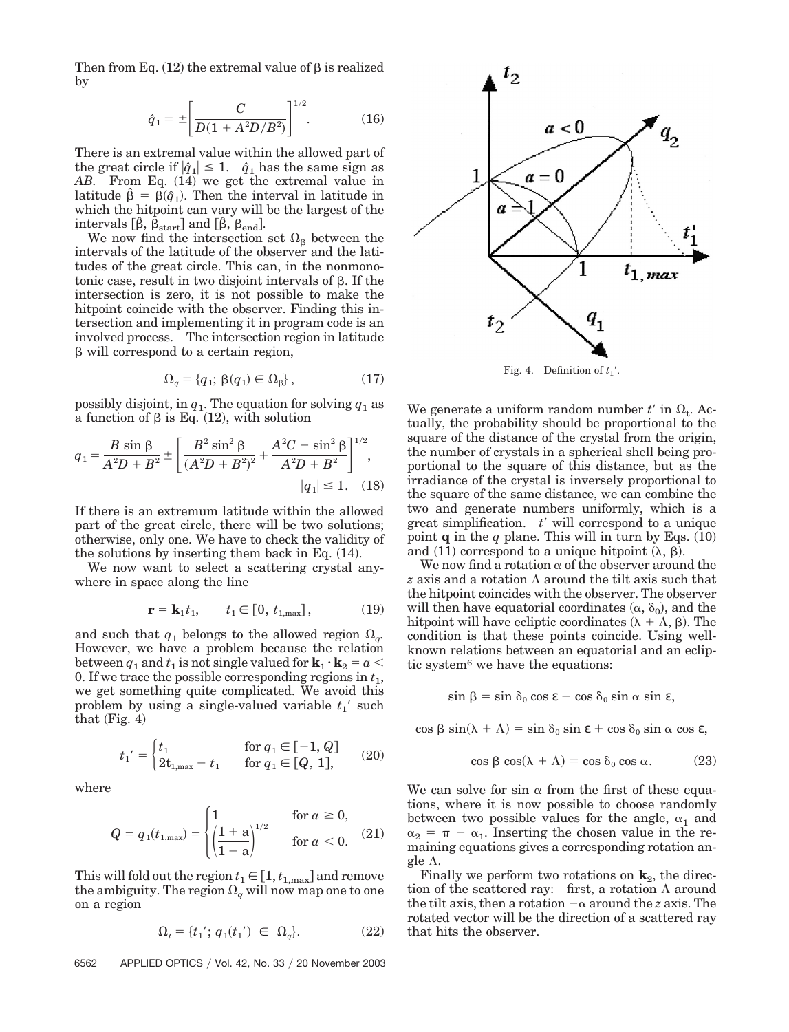Then from Eq. (12) the extremal value of  $\beta$  is realized by

$$
\hat{q}_1 = \pm \left[ \frac{C}{D(1 + A^2 D/B^2)} \right]^{1/2}.
$$
 (16)

There is an extremal value within the allowed part of the great circle if  $|\hat{q}_1| \leq 1$ .  $\hat{q}_1$  has the same sign as AB. From Eq. (14) we get the extremal value in latitude  $\hat{\beta} = \beta(\hat{q}_1)$ . Then the interval in latitude in which the hitpoint can vary will be the largest of the intervals  $[\hat{\beta}, \hat{\beta}_{\text{start}}]$  and  $[\hat{\beta}, \hat{\beta}_{\text{end}}]$ .

We now find the intersection set  $\Omega_{\beta}$  between the intervals of the latitude of the observer and the latitudes of the great circle. This can, in the nonmonotonic case, result in two disjoint intervals of  $\beta$ . If the intersection is zero, it is not possible to make the hitpoint coincide with the observer. Finding this intersection and implementing it in program code is an involved process. The intersection region in latitude  $\beta$  will correspond to a certain region,

$$
\Omega_q = \{q_1; \beta(q_1) \in \Omega_\beta\},\tag{17}
$$

possibly disjoint, in  $q_1$ . The equation for solving  $q_1$  as a function of  $\beta$  is Eq. (12), with solution

$$
q_1 = \frac{B \sin \beta}{A^2 D + B^2} \pm \left[ \frac{B^2 \sin^2 \beta}{(A^2 D + B^2)^2} + \frac{A^2 C - \sin^2 \beta}{A^2 D + B^2} \right]^{1/2},
$$
  
\n
$$
|q_1| \le 1. \quad (18)
$$

If there is an extremum latitude within the allowed part of the great circle, there will be two solutions; otherwise, only one. We have to check the validity of the solutions by inserting them back in Eq.  $(14)$ .

We now want to select a scattering crystal anywhere in space along the line

$$
\mathbf{r} = \mathbf{k}_1 t_1, \qquad t_1 \in [0, t_{1, \text{max}}], \tag{19}
$$

and such that  $q_1$  belongs to the allowed region  $\Omega_{q}$ . However, we have a problem because the relation between  $q_1$  and  $t_1$  is not single valued for  $\mathbf{k}_1 \cdot \mathbf{k}_2 = a$ 0. If we trace the possible corresponding regions in  $t_1$ , we get something quite complicated. We avoid this problem by using a single-valued variable  $t_1$ <sup>'</sup> such that  $(Fig. 4)$ 

$$
t_1' = \begin{cases} t_1 & \text{for } q_1 \in [-1, Q] \\ 2t_{1, \max} - t_1 & \text{for } q_1 \in [Q, 1], \end{cases} \tag{20}
$$

where

$$
Q = q_1(t_{1,\max}) = \begin{cases} 1 & \text{for } a \ge 0, \\ \left(\frac{1+a}{1-a}\right)^{1/2} & \text{for } a < 0. \end{cases}
$$
 (21)

This will fold out the region  $t_1$   $\in$   $[1, t_{1,\mathrm{max}}]$  and remove the ambiguity. The region  $\Omega_q$  will now map one to one on a region

$$
\Omega_t = \{ t_1'; \, q_1(t_1') \in \Omega_q \}. \tag{22}
$$

6562 APPLIED OPTICS Vol. 42, No. 33 20 November 2003



We generate a uniform random number  $t'$  in  $\Omega_t$ . Actually, the probability should be proportional to the square of the distance of the crystal from the origin, the number of crystals in a spherical shell being proportional to the square of this distance, but as the irradiance of the crystal is inversely proportional to the square of the same distance, we can combine the two and generate numbers uniformly, which is a great simplification.  $t'$  will correspond to a unique point **q** in the *q* plane. This will in turn by Eqs.  $(10)$ and (11) correspond to a unique hitpoint  $(\lambda, \beta)$ .

We now find a rotation  $\alpha$  of the observer around the *z* axis and a rotation  $\Lambda$  around the tilt axis such that the hitpoint coincides with the observer. The observer will then have equatorial coordinates  $(\alpha, \delta_0)$ , and the hitpoint will have ecliptic coordinates ( $\lambda + \Lambda$ ,  $\beta$ ). The condition is that these points coincide. Using wellknown relations between an equatorial and an ecliptic system<sup>6</sup> we have the equations:

 $\sin \beta = \sin \delta_0 \cos \epsilon - \cos \delta_0 \sin \alpha \sin \epsilon$ ,

 $\cos \beta \sin(\lambda + \Lambda) = \sin \delta_0 \sin \varepsilon + \cos \delta_0 \sin \alpha \cos \varepsilon,$ 

$$
\cos \beta \cos(\lambda + \Lambda) = \cos \delta_0 \cos \alpha. \tag{23}
$$

We can solve for sin  $\alpha$  from the first of these equations, where it is now possible to choose randomly between two possible values for the angle,  $\alpha_1$  and  $\alpha_2 = \pi - \alpha_1$ . Inserting the chosen value in the remaining equations gives a corresponding rotation angle  $\Lambda$ .

Finally we perform two rotations on  $\mathbf{k}_2$ , the direction of the scattered ray: first, a rotation  $\Lambda$  around the tilt axis, then a rotation  $-\alpha$  around the *z* axis. The rotated vector will be the direction of a scattered ray that hits the observer.